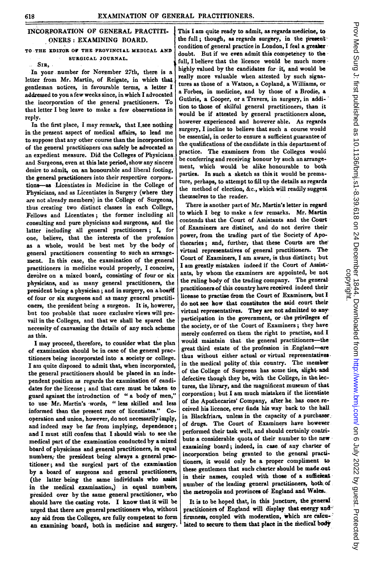## INCORPORATION OF GENERAL PRACTITI-ONERS: EXAMINING BOARD.

## TO THE EDITOR OF THE PROVINCIAL MEDICAL AND SURGICAL JOURNAL.

'SIR,

In your number for November 27th, there is a letter from Mr. Martin, of Reigate, in which that gentleman notices, in favourable terms, a letter <sup>I</sup> addressed to you a few weeks since, in which I advocated the incorporation of the general practitioners. To that letter I beg leave to make a few observations in reply.

In the first place, <sup>I</sup> may remark, that I.see nothing in the present aspect of medical affairs, to lead me to suppose that any other course than the incorporation of the general practitiopers can safely be advocated as an expedient measure. Did the Colleges of Physicians and Surgeons, even at this late period, show any sincere desire to admit, on an honourable and liberal footing, the general practitioners into their respective corporations--as Licentiates in Medicine in the College of Physicians, and as Licentiates in Surgery (where they are not already members) in the College of Surgeons, thus creating two distinct classes in each College, Fellows and Licentiates; the former including all consulting and pure physicians and surgeons, and the latter including all general practitioners;  $I<sub>r</sub>$  for one, believe, that the interests of the profession as a whole, would be best met by the body of general practitioners consenting to such an arrangement. In this case, the examination of the general practitioners in medicine would properly, <sup>I</sup> conceive, devolve on a mixed board, consisting of four or six physicians, and as many general practitioners, the president being a physician; and in surgery, on a board of four or six slurgeons and at many general practitioners, the president being a surgeon. It is, however, but too probable that more exclusive views will prevail in the Colleges, and that we shall be spared the necessity of canvassing the details of any such scheme as this.

<sup>I</sup> may proceed, therefore, to consider what the plan of exaamination should be in case of the general practitioners being incorporated into a society or college. I am quite disposed to admit that, when incorporated, the general practitioners should be placed in an independent position as regards the examination of candidates for the license; and that care must be taken- to guard against the introduction of " a body of men," to use Mr. Martin's words, " less skilled and less informed than the present race of licentiate&." Cooperation and union, however, do not necessarily imply, and indeed may be far from implying, dependence; and I must still confess that I should wish to see the medical part of the examination conducted by a mixed board of physicians and general practitioners, in equal numbers; the president being always a general practitioner; and the surgical part of the examination by a board of surgeons and general practitioners, (the latter being the same- individuals who assist in the medical examination,) in equal numbers, presided over by the same general practitioner, who should have the casting vote. <sup>I</sup> know that it will be urged that there are general practitioners who, without any aid from the Colleges, are fully competent to form an examining board, both in medicine and surgery

This I am quite ready to admit, as regards medicine, to the full; though, as regards surgery, in the present condition of general practice in London, I feel a greater doubt. But if we even admit this competency to the full, I believe that the licence would be much more bighly valued by the candidates for it, and would be really more valuable when attested by such signatures as those of a Watson, a Copland, a Williams, or a Forbes, in medicine, and by those of a Brodie, a Guthrie, a Cooper, or a Travers, in surgery, in addition to those of skilful general practitioners, than it would be if attested by general practitioners alone, however experienced and however able. As regards surgery, <sup>I</sup> incline to believe that such a course would be essential, in order to ensure a sufficient guarantee of the qualifications of the candidate in this department of practice. The examiners from the Colleges would be conferring and receiving honour by such an arrangement, wbich would be alike honourable to both parties. In such a sketch as this it would be premature, perhaps, to attempt to fill up the details as regards the method of election, &c., which will readily suggest themselves to the reader.

There is another part of Mr. Martin's letter in regard to which <sup>I</sup> beg to make a few remarks. Mr. Martia contends that the Court of Assistants and the Court of. Examiners are distinct, and do not derive their power, from the trading part of the Society of Apothecaries; and, further, that these Courts are the' virtual representatives of general practitioners. The Court of Examiners, I am aware, is thus distinct; but I am greatly mistaken indeed if the Court of Assistants, by whom the examiners are appointed, be not the ruling body of the trading company. The general practitioners-of this country have received indeed their license to practise from the Court of Examiners, but <sup>I</sup> do not see- how that constitutes the said court their virtual representatives. They are not admitted to any participation in the government, or the privileges of the society, or of the Court of Examiners; they have merely conferred on them the right to practise, and.I would maintain that the general practitioners-the great third estate of the profession in England--are thus without either actual or virtual representatives in the medical polity of this country. The member of the College of Surgeons has some ties, slight-ad defective though they be, with the College, in the lectures, the library, and.the magnificent museum of that corporation; but <sup>I</sup> am much mistaken if the licentiate of the Apothecaries' Company, after he. has once received his licence, ever finds his way back to the hall in Blackfriars, unless in the capacity of a purchaser. of drugs. The Court of Examiners have however performed their task well, and should certainly contribute a considerable quota of their number to the new examining board; indeed, in case, of any charter of incorporation being granted to the general practitioners, it would only be a proper compliment to these gentlemen that such charter should be made out in their names, coupled with those of a sufficient number of the leading general practitioners, both of the metropolis and provinces of England and Wales.

It is to be hoped that, in this juncture, the general practitioners of England will display that energy and firmness, coupled with moderation, which are calculated to secure to them that place in the medical body